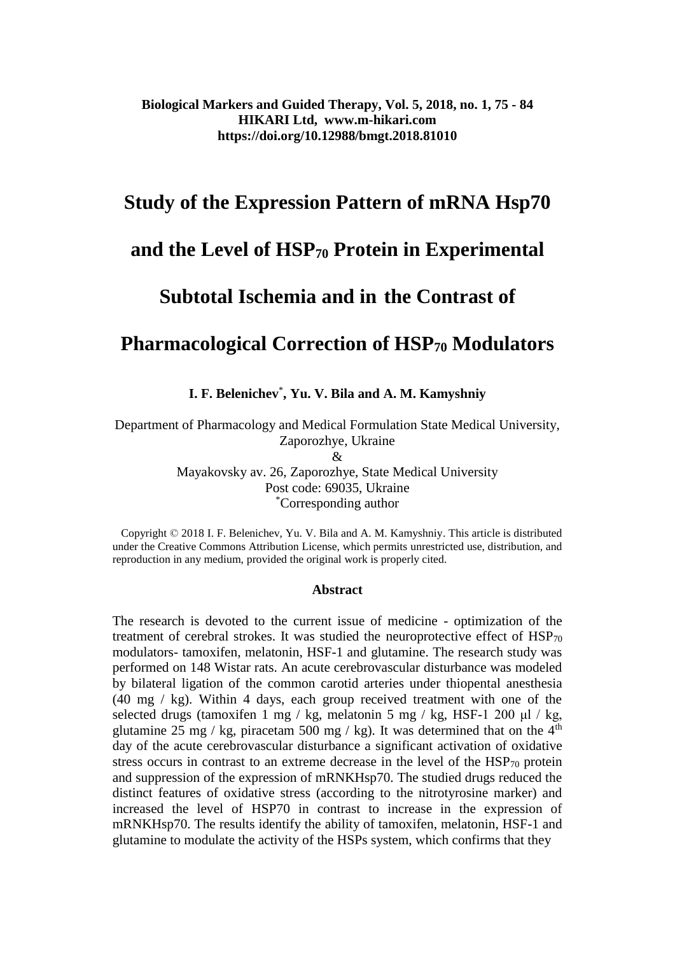# **Study of the Expression Pattern of mRNA Hsp70**

# **and the Level of HSP<sup>70</sup> Protein in Experimental**

# **Subtotal Ischemia and in the Contrast of**

# **Pharmacological Correction of HSP<sup>70</sup> Modulators**

**I. F. Belenichev**\* **, Yu. V. Bila and A. M. Kamyshniy**

Department of Pharmacology and Medical Formulation State Medical University, Zaporozhye, Ukraine  $\mathcal{R}_{\mathcal{L}}$ 

> Mayakovsky av. 26, Zaporozhye, State Medical University Post code: 69035, Ukraine \*Corresponding author

 Copyright © 2018 I. F. Belenichev, Yu. V. Bila and A. M. Kamyshniy. This article is distributed under the Creative Commons Attribution License, which permits unrestricted use, distribution, and reproduction in any medium, provided the original work is properly cited.

#### **Abstract**

The research is devoted to the current issue of medicine - optimization of the treatment of cerebral strokes. It was studied the neuroprotective effect of  $HSP_{70}$ modulators- tamoxifen, melatonin, HSF-1 and glutamine. The research study was performed on 148 Wistar rats. An acute cerebrovascular disturbance was modeled by bilateral ligation of the common carotid arteries under thiopental anesthesia (40 mg / kg). Within 4 days, each group received treatment with one of the selected drugs (tamoxifen 1 mg / kg, melatonin 5 mg / kg, HSF-1 200 μl / kg, glutamine 25 mg / kg, piracetam 500 mg / kg). It was determined that on the  $4<sup>th</sup>$ day of the acute cerebrovascular disturbance a significant activation of oxidative stress occurs in contrast to an extreme decrease in the level of the HSP<sub>70</sub> protein and suppression of the expression of mRNKHsp70. The studied drugs reduced the distinct features of oxidative stress (according to the nitrotyrosine marker) and increased the level of HSP70 in contrast to increase in the expression of mRNKHsp70. The results identify the ability of tamoxifen, melatonin, HSF-1 and glutamine to modulate the activity of the HSPs system, which confirms that they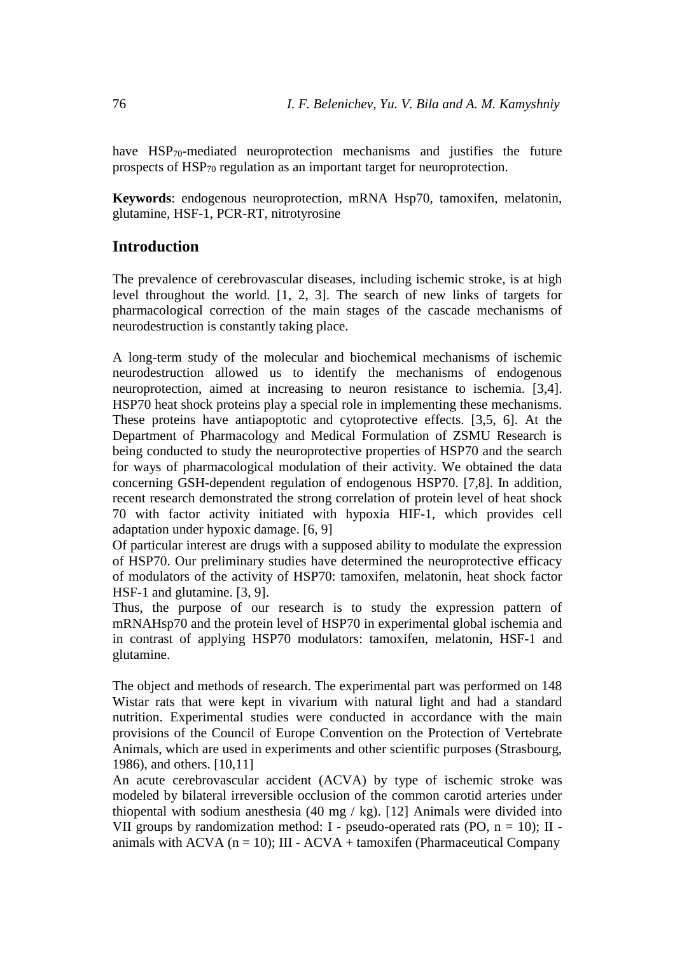have HSP<sub>70</sub>-mediated neuroprotection mechanisms and justifies the future prospects of HSP<sub>70</sub> regulation as an important target for neuroprotection.

**Keywords**: endogenous neuroprotection, mRNA Hsp70, tamoxifen, melatonin, glutamine, HSF-1, PCR-RT, nitrotyrosine

### **Introduction**

The prevalence of cerebrovascular diseases, including ischemic stroke, is at high level throughout the world. [1, 2, 3]. The search of new links of targets for pharmacological correction of the main stages of the cascade mechanisms of neurodestruction is constantly taking place.

A long-term study of the molecular and biochemical mechanisms of ischemic neurodestruction allowed us to identify the mechanisms of endogenous neuroprotection, aimed at increasing to neuron resistance to ischemia. [3,4]. HSP70 heat shock proteins play a special role in implementing these mechanisms. These proteins have antiapoptotic and cytoprotective effects. [3,5, 6]. At the Department of Pharmacology and Medical Formulation of ZSMU Research is being conducted to study the neuroprotective properties of HSP70 and the search for ways of pharmacological modulation of their activity. We obtained the data concerning GSH-dependent regulation of endogenous HSP70. [7,8]. In addition, recent research demonstrated the strong correlation of protein level of heat shock 70 with factor activity initiated with hypoxia HIF-1, which provides cell adaptation under hypoxic damage. [6, 9]

Of particular interest are drugs with a supposed ability to modulate the expression of HSP70. Our preliminary studies have determined the neuroprotective efficacy of modulators of the activity of HSP70: tamoxifen, melatonin, heat shock factor HSF-1 and glutamine. [3, 9].

Thus, the purpose of our research is to study the expression pattern of mRNAHsp70 and the protein level of HSP70 in experimental global ischemia and in contrast of applying HSP70 modulators: tamoxifen, melatonin, HSF-1 and glutamine.

The object and methods of research. The experimental part was performed on 148 Wistar rats that were kept in vivarium with natural light and had a standard nutrition. Experimental studies were conducted in accordance with the main provisions of the Council of Europe Convention on the Protection of Vertebrate Animals, which are used in experiments and other scientific purposes (Strasbourg, 1986), and others. [10,11]

An acute cerebrovascular accident (ACVA) by type of ischemic stroke was modeled by bilateral irreversible occlusion of the common carotid arteries under thiopental with sodium anesthesia  $(40 \text{ mg} / \text{ kg})$ . [12] Animals were divided into VII groups by randomization method: I - pseudo-operated rats (PO,  $n = 10$ ); II animals with ACVA ( $n = 10$ ); III - ACVA + tamoxifen (Pharmaceutical Company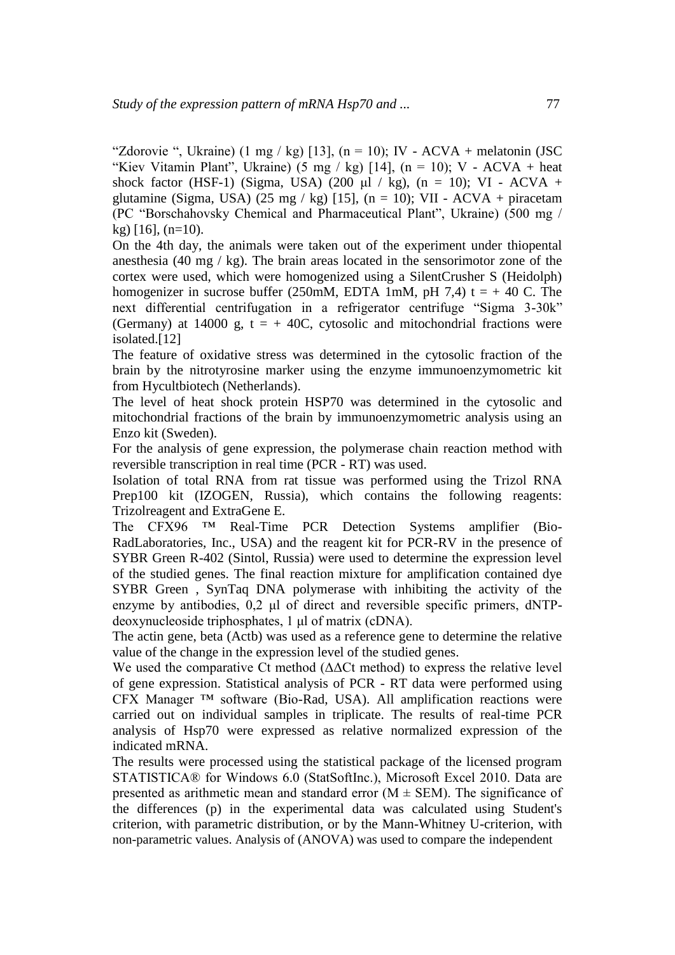"Zdorovie ", Ukraine) (1 mg / kg) [13], (n = 10); IV - ACVA + melatonin (JSC "Kiev Vitamin Plant", Ukraine) (5 mg / kg) [14], (n = 10); V - ACVA + heat shock factor (HSF-1) (Sigma, USA) (200 μl / kg), (n = 10); VI - ACVA + glutamine (Sigma, USA) (25 mg / kg) [15], (n = 10); VII - ACVA + piracetam (PC "Borschahovsky Chemical and Pharmaceutical Plant", Ukraine) (500 mg /  $kg$ ) [16], (n=10).

On the 4th day, the animals were taken out of the experiment under thiopental anesthesia (40 mg / kg). The brain areas located in the sensorimotor zone of the cortex were used, which were homogenized using a SilentCrusher S (Heidolph) homogenizer in sucrose buffer (250mM, EDTA 1mM, pH 7,4) t =  $+$  40 C. The next differential centrifugation in a refrigerator centrifuge "Sigma 3-30k" (Germany) at 14000 g,  $t = +40C$ , cytosolic and mitochondrial fractions were isolated.[12]

The feature of oxidative stress was determined in the cytosolic fraction of the brain by the nitrotyrosine marker using the enzyme immunoenzymometric kit from Hycultbiotech (Netherlands).

The level of heat shock protein HSP70 was determined in the cytosolic and mitochondrial fractions of the brain by immunoenzymometric analysis using an Enzo kit (Sweden).

For the analysis of gene expression, the polymerase chain reaction method with reversible transcription in real time (PCR - RT) was used.

Isolation of total RNA from rat tissue was performed using the Trizol RNA Prep100 kit (IZOGEN, Russia), which contains the following reagents: Trizolreagent and ExtraGene E.

The CFX96 ™ Real-Time PCR Detection Systems amplifier (Bio-RadLaboratories, Inc., USA) and the reagent kit for PCR-RV in the presence of SYBR Green R-402 (Sintol, Russia) were used to determine the expression level of the studied genes. The final reaction mixture for amplification contained dye SYBR Green , SynTaq DNA polymerase with inhibiting the activity of the enzyme by antibodies, 0,2 μl of direct and reversible specific primers, dNTPdeoxynucleoside triphosphates, 1 μl of matrix (cDNA).

The actin gene, beta (Actb) was used as a reference gene to determine the relative value of the change in the expression level of the studied genes.

We used the comparative Ct method ( $\Delta\Delta$ Ct method) to express the relative level of gene expression. Statistical analysis of PCR - RT data were performed using CFX Manager ™ software (Bio-Rad, USA). All amplification reactions were carried out on individual samples in triplicate. The results of real-time PCR analysis of Hsp70 were expressed as relative normalized expression of the indicated mRNA.

The results were processed using the statistical package of the licensed program STATISTICA® for Windows 6.0 (StatSoftInc.), Microsoft Excel 2010. Data are presented as arithmetic mean and standard error  $(M \pm SEM)$ . The significance of the differences (p) in the experimental data was calculated using Student's criterion, with parametric distribution, or by the Mann-Whitney U-criterion, with non-parametric values. Analysis of (ANOVA) was used to compare the independent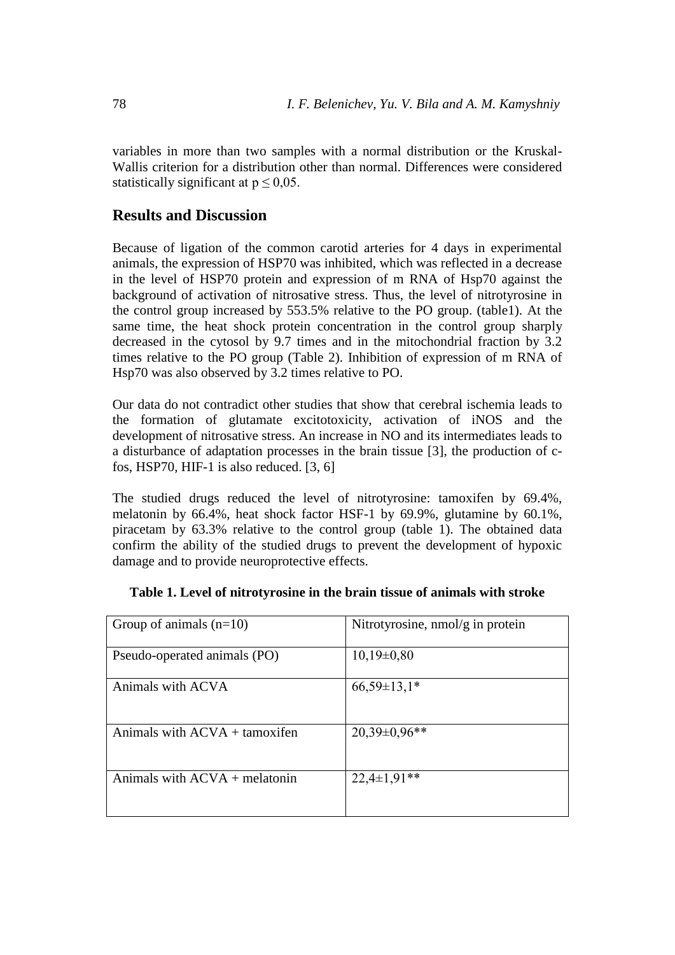variables in more than two samples with a normal distribution or the Kruskal-Wallis criterion for a distribution other than normal. Differences were considered statistically significant at  $p \leq 0.05$ .

### **Results and Discussion**

Because of ligation of the common carotid arteries for 4 days in experimental animals, the expression of HSP70 was inhibited, which was reflected in a decrease in the level of HSP70 protein and expression of m RNA of Hsp70 against the background of activation of nitrosative stress. Thus, the level of nitrotyrosine in the control group increased by 553.5% relative to the PO group. (table1). At the same time, the heat shock protein concentration in the control group sharply decreased in the cytosol by 9.7 times and in the mitochondrial fraction by 3.2 times relative to the PO group (Table 2). Inhibition of expression of m RNA of Hsp70 was also observed by 3.2 times relative to PO.

Our data do not contradict other studies that show that cerebral ischemia leads to the formation of glutamate excitotoxicity, activation of iNOS and the development of nitrosative stress. An increase in NO and its intermediates leads to a disturbance of adaptation processes in the brain tissue [3], the production of cfos, HSP70, HIF-1 is also reduced. [3, 6]

The studied drugs reduced the level of nitrotyrosine: tamoxifen by 69.4%, melatonin by 66.4%, heat shock factor HSF-1 by 69.9%, glutamine by 60.1%, piracetam by 63.3% relative to the control group (table 1). The obtained data confirm the ability of the studied drugs to prevent the development of hypoxic damage and to provide neuroprotective effects.

| Group of animals $(n=10)$              | Nitrotyrosine, nmol/g in protein |
|----------------------------------------|----------------------------------|
| Pseudo-operated animals (PO)           | $10,19\pm0,80$                   |
| Animals with ACVA                      | $66,59\pm13,1*$                  |
| Animals with $ACVA + t$ amoxifen       | $20,39\pm0,96**$                 |
| Animals with $ACVA + \text{melatonin}$ | $22,4\pm1,91**$                  |

#### **Table 1. Level of nitrotyrosine in the brain tissue of animals with stroke**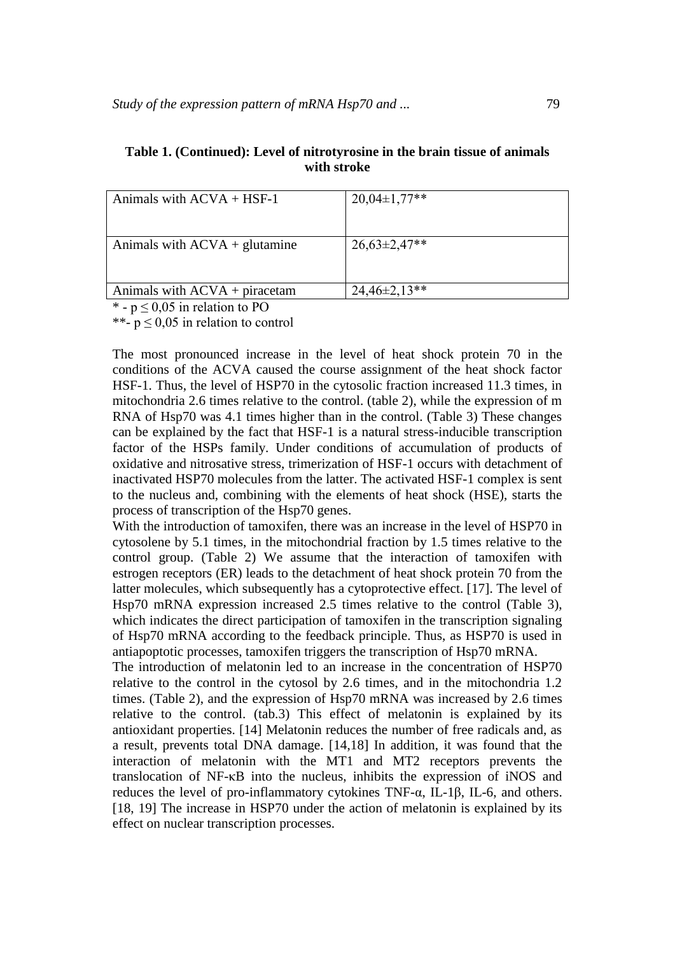| Animals with $ACVA + HSF-1$                                                                                                                                                                                                                                                                                                                                 | $20,04\pm1,77**$ |
|-------------------------------------------------------------------------------------------------------------------------------------------------------------------------------------------------------------------------------------------------------------------------------------------------------------------------------------------------------------|------------------|
|                                                                                                                                                                                                                                                                                                                                                             |                  |
| Animals with $ACVA + glutamine$                                                                                                                                                                                                                                                                                                                             | $26,63\pm2,47**$ |
| Animals with $ACVA +$ piracetam                                                                                                                                                                                                                                                                                                                             | $24,46\pm2,13**$ |
| $\mathcal{L}$ $\mathcal{L}$ $\mathcal{L}$ $\mathcal{L}$ $\mathcal{L}$ $\mathcal{L}$ $\mathcal{L}$ $\mathcal{L}$ $\mathcal{L}$ $\mathcal{L}$ $\mathcal{L}$ $\mathcal{L}$ $\mathcal{L}$ $\mathcal{L}$ $\mathcal{L}$ $\mathcal{L}$ $\mathcal{L}$ $\mathcal{L}$ $\mathcal{L}$ $\mathcal{L}$ $\mathcal{L}$ $\mathcal{L}$ $\mathcal{L}$ $\mathcal{L}$ $\mathcal{$ |                  |

| Table 1. (Continued): Level of nitrotyrosine in the brain tissue of animals |
|-----------------------------------------------------------------------------|
| with stroke                                                                 |

\* -  $p \le 0.05$  in relation to PO

\*\*-  $p \le 0.05$  in relation to control

The most pronounced increase in the level of heat shock protein 70 in the conditions of the ACVA caused the course assignment of the heat shock factor HSF-1. Thus, the level of HSP70 in the cytosolic fraction increased 11.3 times, in mitochondria 2.6 times relative to the control. (table 2), while the expression of m RNA of Hsp70 was 4.1 times higher than in the control. (Table 3) These changes can be explained by the fact that HSF-1 is a natural stress-inducible transcription factor of the HSPs family. Under conditions of accumulation of products of oxidative and nitrosative stress, trimerization of HSF-1 occurs with detachment of inactivated HSP70 molecules from the latter. The activated HSF-1 complex is sent to the nucleus and, combining with the elements of heat shock (HSE), starts the process of transcription of the Hsp70 genes.

With the introduction of tamoxifen, there was an increase in the level of HSP70 in cytosolene by 5.1 times, in the mitochondrial fraction by 1.5 times relative to the control group. (Table 2) We assume that the interaction of tamoxifen with estrogen receptors (ER) leads to the detachment of heat shock protein 70 from the latter molecules, which subsequently has a cytoprotective effect. [17]. The level of Hsp70 mRNA expression increased 2.5 times relative to the control (Table 3), which indicates the direct participation of tamoxifen in the transcription signaling of Hsp70 mRNA according to the feedback principle. Thus, as HSP70 is used in antiapoptotic processes, tamoxifen triggers the transcription of Hsp70 mRNA.

The introduction of melatonin led to an increase in the concentration of HSP70 relative to the control in the cytosol by 2.6 times, and in the mitochondria 1.2 times. (Table 2), and the expression of Hsp70 mRNA was increased by 2.6 times relative to the control. (tab.3) This effect of melatonin is explained by its antioxidant properties. [14] Melatonin reduces the number of free radicals and, as a result, prevents total DNA damage. [14,18] In addition, it was found that the interaction of melatonin with the MT1 and MT2 receptors prevents the translocation of NF-κB into the nucleus, inhibits the expression of iNOS and reduces the level of pro-inflammatory cytokines TNF-α, IL-1β, IL-6, and others. [18, 19] The increase in HSP70 under the action of melatonin is explained by its effect on nuclear transcription processes.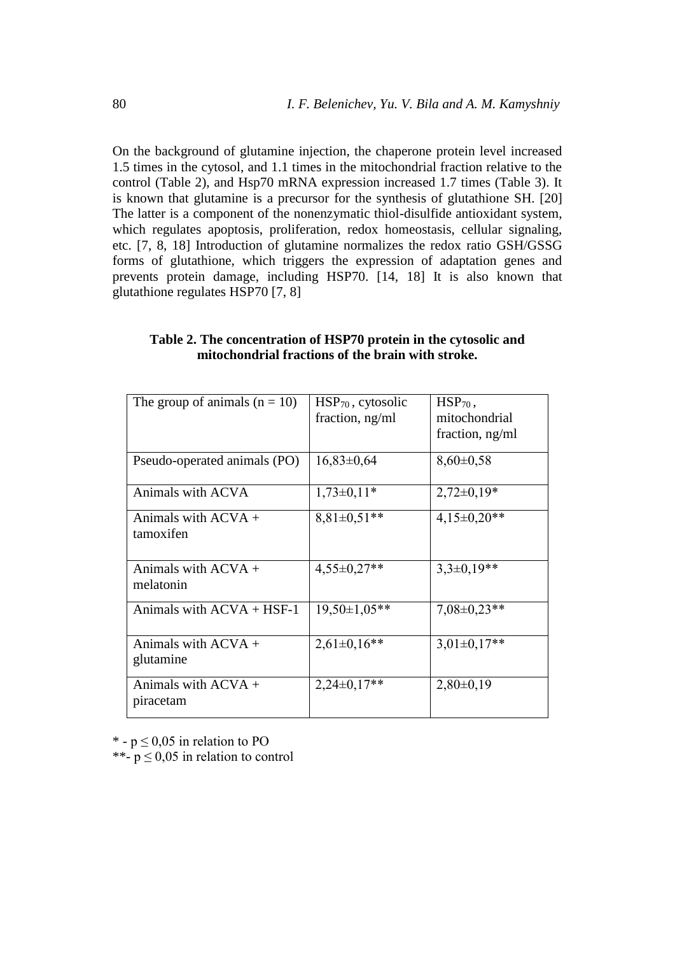On the background of glutamine injection, the chaperone protein level increased 1.5 times in the cytosol, and 1.1 times in the mitochondrial fraction relative to the control (Table 2), and Hsp70 mRNA expression increased 1.7 times (Table 3). It is known that glutamine is a precursor for the synthesis of glutathione SH. [20] The latter is a component of the nonenzymatic thiol-disulfide antioxidant system, which regulates apoptosis, proliferation, redox homeostasis, cellular signaling, etc. [7, 8, 18] Introduction of glutamine normalizes the redox ratio GSH/GSSG forms of glutathione, which triggers the expression of adaptation genes and prevents protein damage, including HSP70. [14, 18] It is also known that glutathione regulates HSP70 [7, 8]

| The group of animals $(n = 10)$    | $HSP70$ , cytosolic<br>fraction, ng/ml | $HSP70$ ,<br>mitochondrial<br>fraction, ng/ml |
|------------------------------------|----------------------------------------|-----------------------------------------------|
| Pseudo-operated animals (PO)       | $16,83\pm0,64$                         | $8,60\pm0,58$                                 |
| Animals with ACVA                  | $1,73\pm0,11*$                         | $2,72\pm0,19*$                                |
| Animals with $ACVA +$<br>tamoxifen | $8,81\pm0,51**$                        | $4,15\pm0,20**$                               |
| Animals with $ACVA +$<br>melatonin | $4,55\pm0,27**$                        | $3,3\pm0,19**$                                |
| Animals with $ACVA + HSF-1$        | $19,50 \pm 1,05$ **                    | $7,08 \pm 0,23$ **                            |
| Animals with $ACVA +$<br>glutamine | $2,61\pm0,16**$                        | $3,01\pm0,17**$                               |
| Animals with $ACVA +$<br>piracetam | $2,24\pm0,17**$                        | $2,80\pm0,19$                                 |

#### **Table 2. The concentration of HSP70 protein in the cytosolic and mitochondrial fractions of the brain with stroke.**

\* -  $p \le 0.05$  in relation to PO

\*\*-  $p \le 0.05$  in relation to control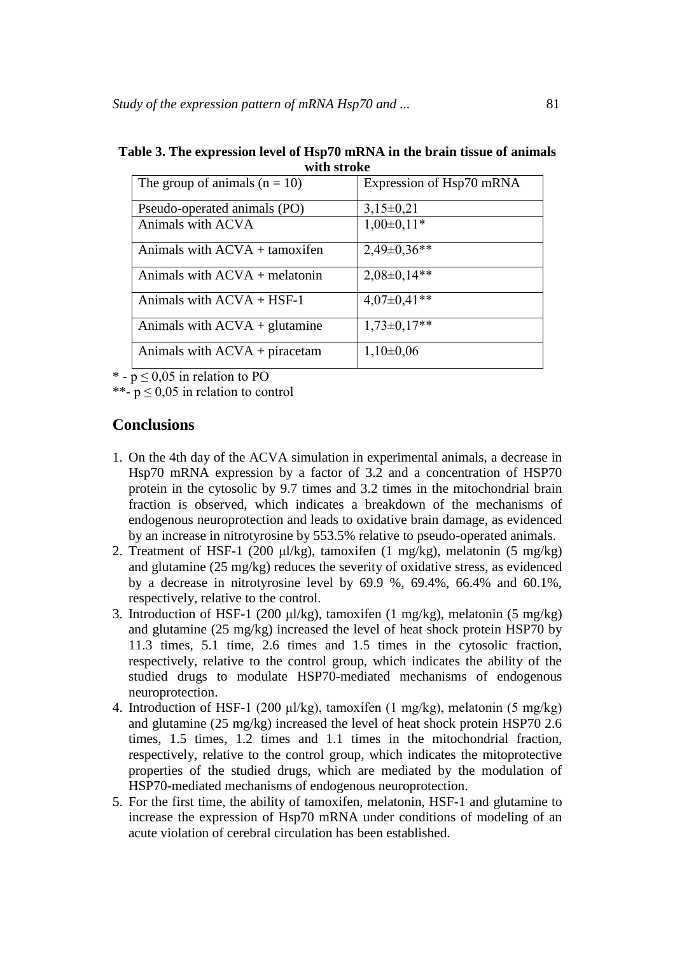| wali bu yav                            |                          |  |
|----------------------------------------|--------------------------|--|
| The group of animals $(n = 10)$        | Expression of Hsp70 mRNA |  |
| Pseudo-operated animals (PO)           | $3,15\pm0,21$            |  |
| Animals with ACVA                      | $1,00\pm0,11*$           |  |
| Animals with ACVA + tamoxifen          | $2,49\pm0,36**$          |  |
| Animals with $ACVA + \text{melatonin}$ | $2,08\pm0,14**$          |  |
| Animals with $ACVA + HSF-1$            | $4,07\pm0,41**$          |  |
| Animals with $ACVA + glutamine$        | $1,73\pm0,17**$          |  |
| Animals with $ACVA + pi$ racetam       | $1,10\pm0,06$            |  |

| Table 3. The expression level of Hsp70 mRNA in the brain tissue of animals |
|----------------------------------------------------------------------------|
| with stroke                                                                |

\* -  $p \le 0.05$  in relation to PO

\*\*-  $p \le 0.05$  in relation to control

## **Conclusions**

- 1. On the 4th day of the ACVA simulation in experimental animals, a decrease in Hsp70 mRNA expression by a factor of 3.2 and a concentration of HSP70 protein in the cytosolic by 9.7 times and 3.2 times in the mitochondrial brain fraction is observed, which indicates a breakdown of the mechanisms of endogenous neuroprotection and leads to oxidative brain damage, as evidenced by an increase in nitrotyrosine by 553.5% relative to pseudo-operated animals.
- 2. Treatment of HSF-1 (200 μl/kg), tamoxifen (1 mg/kg), melatonin (5 mg/kg) and glutamine (25 mg/kg) reduces the severity of oxidative stress, as evidenced by a decrease in nitrotyrosine level by 69.9 %, 69.4%, 66.4% and 60.1%, respectively, relative to the control.
- 3. Introduction of HSF-1 (200 μl/kg), tamoxifen (1 mg/kg), melatonin (5 mg/kg) and glutamine (25 mg/kg) increased the level of heat shock protein HSP70 by 11.3 times, 5.1 time, 2.6 times and 1.5 times in the cytosolic fraction, respectively, relative to the control group, which indicates the ability of the studied drugs to modulate HSP70-mediated mechanisms of endogenous neuroprotection.
- 4. Introduction of HSF-1 (200 μl/kg), tamoxifen (1 mg/kg), melatonin (5 mg/kg) and glutamine (25 mg/kg) increased the level of heat shock protein HSP70 2.6 times, 1.5 times, 1.2 times and 1.1 times in the mitochondrial fraction, respectively, relative to the control group, which indicates the mitoprotective properties of the studied drugs, which are mediated by the modulation of HSP70-mediated mechanisms of endogenous neuroprotection.
- 5. For the first time, the ability of tamoxifen, melatonin, HSF-1 and glutamine to increase the expression of Hsp70 mRNA under conditions of modeling of an acute violation of cerebral circulation has been established.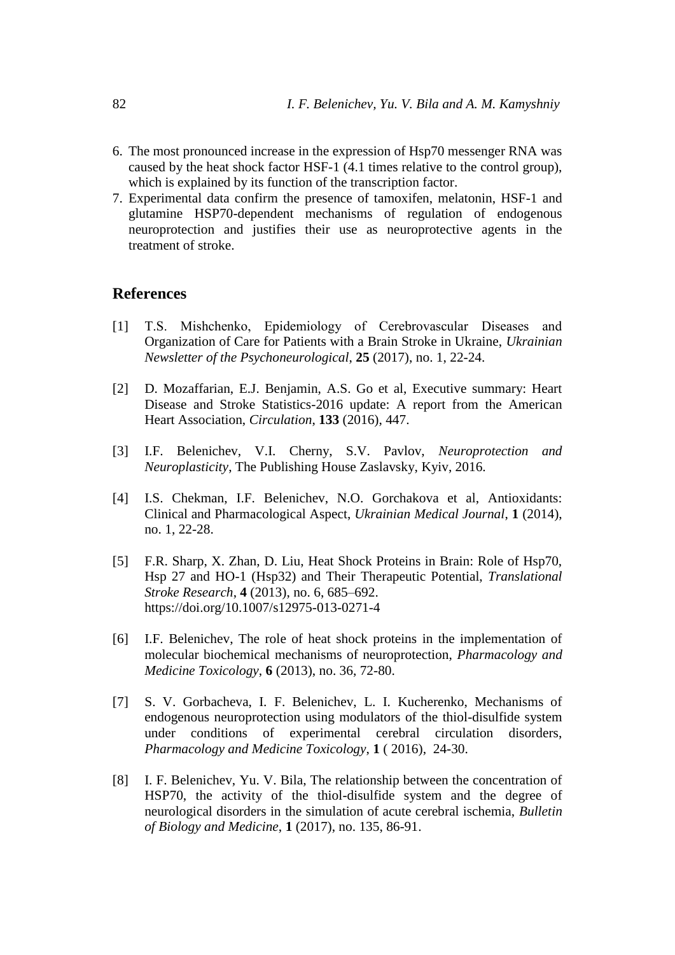- 6. The most pronounced increase in the expression of Hsp70 messenger RNA was caused by the heat shock factor HSF-1 (4.1 times relative to the control group), which is explained by its function of the transcription factor.
- 7. Experimental data confirm the presence of tamoxifen, melatonin, HSF-1 and glutamine HSP70-dependent mechanisms of regulation of endogenous neuroprotection and justifies their use as neuroprotective agents in the treatment of stroke.

## **References**

- [1] T.S. Mishchenko, Epidemiology of Cerebrovascular Diseases and Organization of Care for Patients with a Brain Stroke in Ukraine, *Ukrainian Newsletter of the Psychoneurological*, **25** (2017), no. 1, 22-24.
- [2] D. Mozaffarian, E.J. Benjamin, A.S. Go et al, Executive summary: Heart Disease and Stroke Statistics-2016 update: A report from the American Heart Association, *Circulation*, **133** (2016), 447.
- [3] I.F. Belenichev, V.I. Cherny, S.V. Pavlov, *Neuroprotection and Neuroplasticity*, The Publishing House Zaslavsky, Kyiv, 2016.
- [4] I.S. Chekman, I.F. Belenichev, N.O. Gorchakova et al, Antioxidants: Clinical and Pharmacological Aspect, *Ukrainian Medical Journal*, **1** (2014), no. 1, 22-28.
- [5] F.R. Sharp, X. Zhan, D. Liu, Heat Shock Proteins in Brain: Role of Hsp70, Hsp 27 and HO-1 (Hsp32) and Their Therapeutic Potential, *Translational Stroke Research*, **4** (2013), no. 6, 685–692. <https://doi.org/10.1007/s12975-013-0271-4>
- [6] I.F. Belenichev, The role of heat shock proteins in the implementation of molecular biochemical mechanisms of neuroprotection, *Pharmacology and Medicine Toxicology*, **6** (2013), no. 36, 72-80.
- [7] S. V. Gorbacheva, I. F. Belenichev, L. I. Kucherenko, Mechanisms of endogenous neuroprotection using modulators of the thiol-disulfide system under conditions of experimental cerebral circulation disorders, *Pharmacology and Medicine Toxicology*, **1** ( 2016), 24-30.
- [8] I. F. Belenichev, Yu. V. Bila, The relationship between the concentration of HSP70, the activity of the thiol-disulfide system and the degree of neurological disorders in the simulation of acute cerebral ischemia, *Bulletin of Biology and Medicine*, **1** (2017), no. 135, 86-91.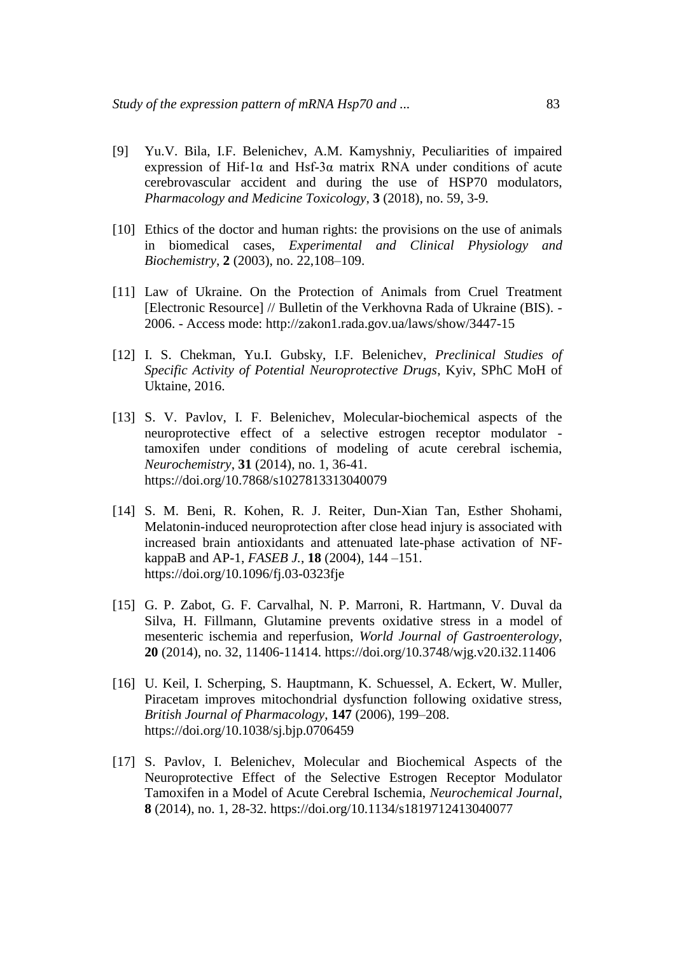- [9] Yu.V. Bila, I.F. Belenichev, A.M. Kamyshniy, Peculiarities of impaired expression of Hif-1 $\alpha$  and Hsf-3 $\alpha$  matrix RNA under conditions of acute cerebrovascular accident and during the use of HSP70 modulators, *Pharmacology and Medicine Toxicology*, **3** (2018), no. 59, 3-9.
- [10] Ethics of the doctor and human rights: the provisions on the use of animals in biomedical cases, *Experimental and Clinical Physiology and Biochemistry*, **2** (2003), no. 22,108–109.
- [11] Law of Ukraine. On the Protection of Animals from Cruel Treatment [Electronic Resource] // Bulletin of the Verkhovna Rada of Ukraine (BIS). - 2006. - Access mode: http://zakon1.rada.gov.ua/laws/show/3447-15
- [12] I. S. Chekman, Yu.I. Gubsky, I.F. Belenichev, *Preclinical Studies of Specific Activity of Potential Neuroprotective Drugs*, Kyiv, SPhC MoH of Uktaine, 2016.
- [13] S. V. Pavlov, I. F. Belenichev, Molecular-biochemical aspects of the neuroprotective effect of a selective estrogen receptor modulator tamoxifen under conditions of modeling of acute cerebral ischemia, *Neurochemistry*, **31** (2014), no. 1, 36-41. <https://doi.org/10.7868/s1027813313040079>
- [14] S. M. Beni, R. Kohen, R. J. Reiter, Dun-Xian Tan, Esther Shohami, Melatonin-induced neuroprotection after close head injury is associated with increased brain antioxidants and attenuated late-phase activation of NFkappaB and AP-1, *FASEB J.*, **18** (2004), 144 –151. <https://doi.org/10.1096/fj.03-0323fje>
- [15] G. P. Zabot, G. F. Carvalhal, N. P. Marroni, R. Hartmann, V. Duval da Silva, H. Fillmann, Glutamine prevents oxidative stress in a model of mesenteric ischemia and reperfusion, *World Journal of Gastroenterology*, **20** (2014), no. 32, 11406-11414. <https://doi.org/10.3748/wjg.v20.i32.11406>
- [16] U. Keil, I. Scherping, S. Hauptmann, K. Schuessel, A. Eckert, W. Muller, Piracetam improves mitochondrial dysfunction following oxidative stress, *British Journal of Pharmacology*, **147** (2006), 199–208. <https://doi.org/10.1038/sj.bjp.0706459>
- [17] S. Pavlov, I. Belenichev, Molecular and Biochemical Aspects of the Neuroprotective Effect of the Selective Estrogen Receptor Modulator Tamoxifen in a Model of Acute Cerebral Ischemia, *Neurochemical Journal*, **8** (2014), no. 1, 28-32. <https://doi.org/10.1134/s1819712413040077>